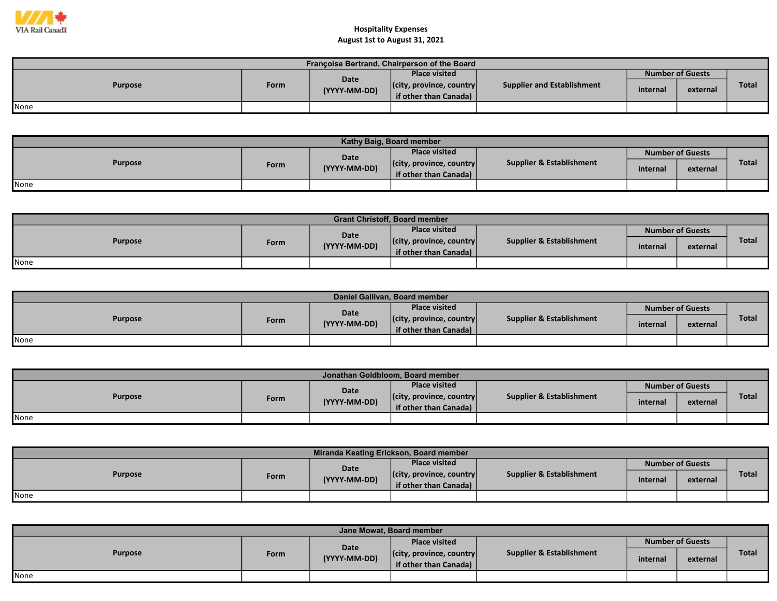

| Françoise Bertrand, Chairperson of the Board |      |                             |                                  |                            |                         |          |              |  |  |  |
|----------------------------------------------|------|-----------------------------|----------------------------------|----------------------------|-------------------------|----------|--------------|--|--|--|
| <b>Purpose</b>                               |      | <b>Date</b><br>(YYYY-MM-DD) | <b>Place visited</b>             |                            | <b>Number of Guests</b> |          |              |  |  |  |
|                                              | Form |                             | $ $ (city, province, country $ $ | Supplier and Establishment | internal                | external | <b>Total</b> |  |  |  |
|                                              |      |                             | if other than Canada)            |                            |                         |          |              |  |  |  |
| None                                         |      |                             |                                  |                            |                         |          |              |  |  |  |

| Kathy Baig, Board member |      |              |                                  |                                     |          |                         |              |  |  |  |
|--------------------------|------|--------------|----------------------------------|-------------------------------------|----------|-------------------------|--------------|--|--|--|
| <b>Purpose</b>           |      | Date         | <b>Place visited</b>             |                                     |          | <b>Number of Guests</b> |              |  |  |  |
|                          | Form | (YYYY-MM-DD) | $ $ (city, province, country $ $ | <b>Supplier &amp; Establishment</b> | internal | external                | <b>Total</b> |  |  |  |
|                          |      |              | <b>if other than Canada)</b>     |                                     |          |                         |              |  |  |  |
| None                     |      |              |                                  |                                     |          |                         |              |  |  |  |

| <b>Grant Christoff, Board member</b> |  |              |                                  |                                     |          |                         |              |  |  |  |
|--------------------------------------|--|--------------|----------------------------------|-------------------------------------|----------|-------------------------|--------------|--|--|--|
| <b>Purpose</b><br>Form               |  | <b>Date</b>  | <b>Place visited</b>             | <b>Supplier &amp; Establishment</b> |          | <b>Number of Guests</b> |              |  |  |  |
|                                      |  | (YYYY-MM-DD) | $ $ (city, province, country $ $ |                                     | internal | external                | <b>Total</b> |  |  |  |
|                                      |  |              | if other than Canada)            |                                     |          |                         |              |  |  |  |
| None                                 |  |              |                                  |                                     |          |                         |              |  |  |  |

| Daniel Gallivan, Board member |      |              |                                  |                          |                         |          |              |  |  |  |
|-------------------------------|------|--------------|----------------------------------|--------------------------|-------------------------|----------|--------------|--|--|--|
| <b>Purpose</b>                |      | Date         | <b>Place visited</b>             | Supplier & Establishment | <b>Number of Guests</b> |          |              |  |  |  |
|                               | Form | (YYYY-MM-DD) | $ $ (city, province, country $ $ |                          | internal                | external | <b>Total</b> |  |  |  |
|                               |      |              | if other than Canada)            |                          |                         |          |              |  |  |  |
| None                          |      |              |                                  |                          |                         |          |              |  |  |  |

| Jonathan Goldbloom. Board member |      |              |                                  |                                     |                         |          |       |  |  |
|----------------------------------|------|--------------|----------------------------------|-------------------------------------|-------------------------|----------|-------|--|--|
| <b>Purpose</b>                   |      | Date         | Place visited                    | <b>Supplier &amp; Establishment</b> | <b>Number of Guests</b> |          |       |  |  |
|                                  | Form | (YYYY-MM-DD) | $ $ (city, province, country $ $ |                                     | internal                | external | Total |  |  |
|                                  |      |              | if other than Canada)            |                                     |                         |          |       |  |  |
| None                             |      |              |                                  |                                     |                         |          |       |  |  |

| Miranda Keating Erickson, Board member |      |              |                                  |                                     |          |                         |              |  |  |  |
|----------------------------------------|------|--------------|----------------------------------|-------------------------------------|----------|-------------------------|--------------|--|--|--|
| <b>Purpose</b>                         |      | Date         | <b>Place visited</b>             |                                     |          | <b>Number of Guests</b> |              |  |  |  |
|                                        | Form | (YYYY-MM-DD) | $ $ (city, province, country $ $ | <b>Supplier &amp; Establishment</b> | internal | external                | <b>Total</b> |  |  |  |
|                                        |      |              | if other than Canada)            |                                     |          |                         |              |  |  |  |
| None                                   |      |              |                                  |                                     |          |                         |              |  |  |  |

| Jane Mowat, Board member |      |                      |                                  |                          |                         |          |              |  |  |
|--------------------------|------|----------------------|----------------------------------|--------------------------|-------------------------|----------|--------------|--|--|
| Purpose                  | Form | Date<br>(YYYY-MM-DD) | <b>Place visited</b>             | Supplier & Establishment | <b>Number of Guests</b> |          |              |  |  |
|                          |      |                      | $ $ (city, province, country $ $ |                          | internal                | external | <b>Total</b> |  |  |
|                          |      |                      | lif other than Canada)           |                          |                         |          |              |  |  |
| <b>I</b> None            |      |                      |                                  |                          |                         |          |              |  |  |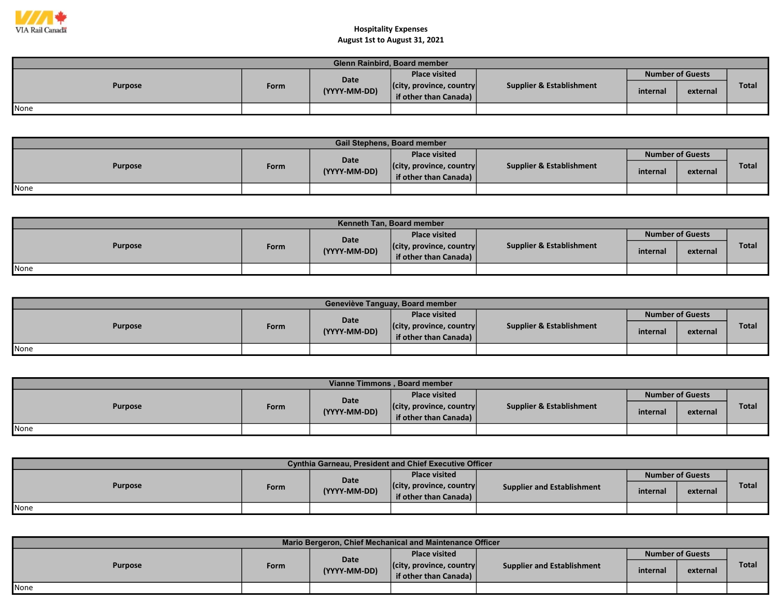

| Glenn Rainbird, Board member |      |              |                                  |                          |          |                         |       |  |  |
|------------------------------|------|--------------|----------------------------------|--------------------------|----------|-------------------------|-------|--|--|
| <b>Purpose</b>               |      | Date         | <b>Place visited</b>             |                          |          | <b>Number of Guests</b> |       |  |  |
|                              | Form | (YYYY-MM-DD) | $ $ (city, province, country $ $ | Supplier & Establishment | internal | external                | Total |  |  |
|                              |      |              | if other than Canada)            |                          |          |                         |       |  |  |
| None                         |      |              |                                  |                          |          |                         |       |  |  |

| <b>Gail Stephens, Board member</b> |      |              |                                  |                                     |                         |          |              |  |  |
|------------------------------------|------|--------------|----------------------------------|-------------------------------------|-------------------------|----------|--------------|--|--|
| <b>Purpose</b>                     |      | Date         | <b>Place visited</b>             |                                     | <b>Number of Guests</b> |          |              |  |  |
|                                    | Form | (YYYY-MM-DD) | $ $ (city, province, country $ $ | <b>Supplier &amp; Establishment</b> | internal                | external | <b>Total</b> |  |  |
|                                    |      |              | if other than Canada) $\vert$    |                                     |                         |          |              |  |  |
| None                               |      |              |                                  |                                     |                         |          |              |  |  |

| <b>Kenneth Tan. Board member</b> |             |              |                                  |                          |                         |          |              |  |  |  |
|----------------------------------|-------------|--------------|----------------------------------|--------------------------|-------------------------|----------|--------------|--|--|--|
| <b>Purpose</b>                   |             | <b>Date</b>  | <b>Place visited</b>             | Supplier & Establishment | <b>Number of Guests</b> |          |              |  |  |  |
|                                  | <b>Form</b> | (YYYY-MM-DD) | $ $ (city, province, country $ $ |                          | internal                | external | <b>Total</b> |  |  |  |
|                                  |             |              | if other than Canada)            |                          |                         |          |              |  |  |  |
| None                             |             |              |                                  |                          |                         |          |              |  |  |  |

| Geneviève Tanguay, Board member |      |              |                                                           |                                     |                         |          |              |  |  |  |
|---------------------------------|------|--------------|-----------------------------------------------------------|-------------------------------------|-------------------------|----------|--------------|--|--|--|
|                                 |      | <b>Date</b>  | <b>Place visited</b>                                      |                                     | <b>Number of Guests</b> |          |              |  |  |  |
| <b>Purpose</b>                  | Form | (YYYY-MM-DD) | $ $ (city, province, country $ $<br>if other than Canada) | <b>Supplier &amp; Establishment</b> | internal                | external | <b>Total</b> |  |  |  |
| None                            |      |              |                                                           |                                     |                         |          |              |  |  |  |

| Vianne Timmons, Board member |      |              |                                                           |                          |          |                         |       |  |  |  |
|------------------------------|------|--------------|-----------------------------------------------------------|--------------------------|----------|-------------------------|-------|--|--|--|
| <b>Purpose</b>               |      | Date         | <b>Place visited</b>                                      |                          |          | <b>Number of Guests</b> |       |  |  |  |
|                              | Form | (YYYY-MM-DD) | $ $ (city, province, country $ $<br>if other than Canada) | Supplier & Establishment | internal | external                | Total |  |  |  |
| <b>I</b> None                |      |              |                                                           |                          |          |                         |       |  |  |  |

| <b>Cynthia Garneau, President and Chief Executive Officer</b> |      |              |                                  |                                   |          |                         |              |  |  |  |  |
|---------------------------------------------------------------|------|--------------|----------------------------------|-----------------------------------|----------|-------------------------|--------------|--|--|--|--|
| <b>Purpose</b>                                                |      | Date         | <b>Place visited</b>             |                                   |          | <b>Number of Guests</b> |              |  |  |  |  |
|                                                               | Form | (YYYY-MM-DD) | $ $ (city, province, country $ $ | <b>Supplier and Establishment</b> | internal | external                | <b>Total</b> |  |  |  |  |
|                                                               |      |              | if other than Canada)            |                                   |          |                         |              |  |  |  |  |
| <b>None</b>                                                   |      |              |                                  |                                   |          |                         |              |  |  |  |  |

| Mario Bergeron, Chief Mechanical and Maintenance Officer |      |                      |                                  |                            |                         |          |              |  |  |  |  |
|----------------------------------------------------------|------|----------------------|----------------------------------|----------------------------|-------------------------|----------|--------------|--|--|--|--|
| <b>Purpose</b>                                           | Form | Date<br>(YYYY-MM-DD) | <b>Place visited</b>             |                            | <b>Number of Guests</b> |          |              |  |  |  |  |
|                                                          |      |                      | $ $ (city, province, country $ $ | Supplier and Establishment | internal                | external | <b>Total</b> |  |  |  |  |
|                                                          |      |                      | if other than Canada)            |                            |                         |          |              |  |  |  |  |
| None                                                     |      |                      |                                  |                            |                         |          |              |  |  |  |  |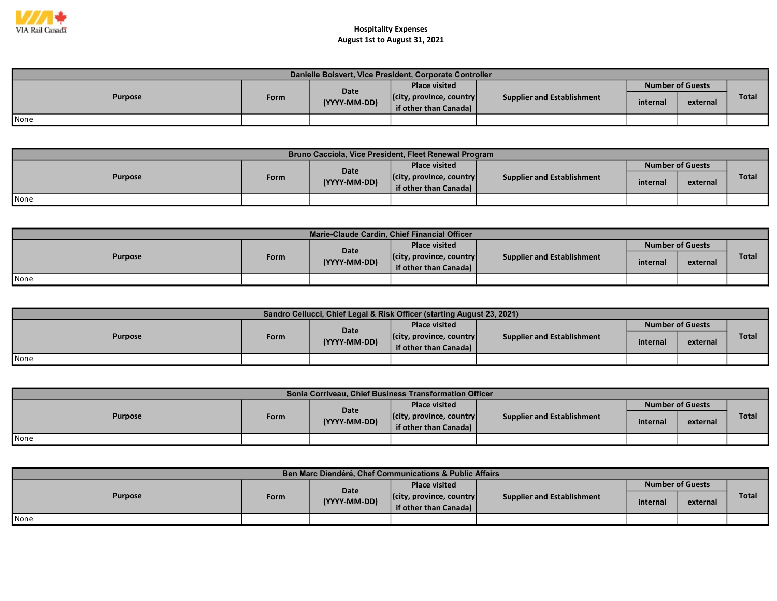

| Danielle Boisvert, Vice President, Corporate Controller |      |                      |                                                           |                            |                         |          |       |  |  |  |
|---------------------------------------------------------|------|----------------------|-----------------------------------------------------------|----------------------------|-------------------------|----------|-------|--|--|--|
|                                                         |      |                      | <b>Place visited</b>                                      |                            | <b>Number of Guests</b> |          |       |  |  |  |
| <b>Purpose</b>                                          | Form | Date<br>(YYYY-MM-DD) | $ $ (city, province, country $ $<br>if other than Canada) | Supplier and Establishment | internal                | external | Total |  |  |  |
| <b>None</b>                                             |      |                      |                                                           |                            |                         |          |       |  |  |  |

| Bruno Cacciola, Vice President, Fleet Renewal Program |             |              |                                                           |                            |          |                         |              |  |  |  |  |
|-------------------------------------------------------|-------------|--------------|-----------------------------------------------------------|----------------------------|----------|-------------------------|--------------|--|--|--|--|
| <b>Purpose</b>                                        |             | Date         | <b>Place visited</b>                                      |                            |          | <b>Number of Guests</b> |              |  |  |  |  |
|                                                       | <b>Form</b> | (YYYY-MM-DD) | $ $ (city, province, country $ $<br>if other than Canada) | Supplier and Establishment | internal | external                | <b>Total</b> |  |  |  |  |
| None                                                  |             |              |                                                           |                            |          |                         |              |  |  |  |  |

| Marie-Claude Cardin, Chief Financial Officer |      |              |                                  |                                   |                         |          |              |  |  |  |
|----------------------------------------------|------|--------------|----------------------------------|-----------------------------------|-------------------------|----------|--------------|--|--|--|
| <b>Purpose</b>                               |      | Date         | <b>Place visited</b>             | <b>Supplier and Establishment</b> | <b>Number of Guests</b> |          |              |  |  |  |
|                                              | Form | (YYYY-MM-DD) | $ $ (city, province, country $ $ |                                   | internal                | external | <b>Total</b> |  |  |  |
|                                              |      |              | if other than Canada)            |                                   |                         |          |              |  |  |  |
| <b>I</b> None                                |      |              |                                  |                                   |                         |          |              |  |  |  |

| <b>Sandro Cellucci, Chief Legal &amp; Risk Officer (starting August 23, 2021)</b> |      |              |                                  |                                   |          |                         |              |  |  |  |  |
|-----------------------------------------------------------------------------------|------|--------------|----------------------------------|-----------------------------------|----------|-------------------------|--------------|--|--|--|--|
| <b>Purpose</b>                                                                    |      | <b>Date</b>  | <b>Place visited</b>             | <b>Supplier and Establishment</b> |          | <b>Number of Guests</b> |              |  |  |  |  |
|                                                                                   | Form | (YYYY-MM-DD) | $ $ (city, province, country $ $ |                                   | internal | external                | <b>Total</b> |  |  |  |  |
|                                                                                   |      |              | if other than Canada)            |                                   |          |                         |              |  |  |  |  |
| <b>None</b>                                                                       |      |              |                                  |                                   |          |                         |              |  |  |  |  |

| Sonia Corriveau, Chief Business Transformation Officer |      |              |                                  |                                   |          |                         |       |  |  |  |  |
|--------------------------------------------------------|------|--------------|----------------------------------|-----------------------------------|----------|-------------------------|-------|--|--|--|--|
| <b>Purpose</b>                                         |      | Date         | <b>Place visited</b>             |                                   |          | <b>Number of Guests</b> |       |  |  |  |  |
|                                                        | Form | (YYYY-MM-DD) | $ $ (city, province, country $ $ | <b>Supplier and Establishment</b> | internal | external                | Total |  |  |  |  |
|                                                        |      |              | if other than Canada)            |                                   |          |                         |       |  |  |  |  |
| <b>None</b>                                            |      |              |                                  |                                   |          |                         |       |  |  |  |  |

| Ben Marc Diendéré, Chef Communications & Public Affairs |      |              |                                                           |                                   |          |                         |              |  |  |  |  |
|---------------------------------------------------------|------|--------------|-----------------------------------------------------------|-----------------------------------|----------|-------------------------|--------------|--|--|--|--|
| <b>Purpose</b>                                          |      | Date         | <b>Place visited</b>                                      |                                   |          | <b>Number of Guests</b> |              |  |  |  |  |
|                                                         | Form | (YYYY-MM-DD) | $ $ (city, province, country $ $<br>if other than Canada) | <b>Supplier and Establishment</b> | internal | external                | <b>Total</b> |  |  |  |  |
| None                                                    |      |              |                                                           |                                   |          |                         |              |  |  |  |  |